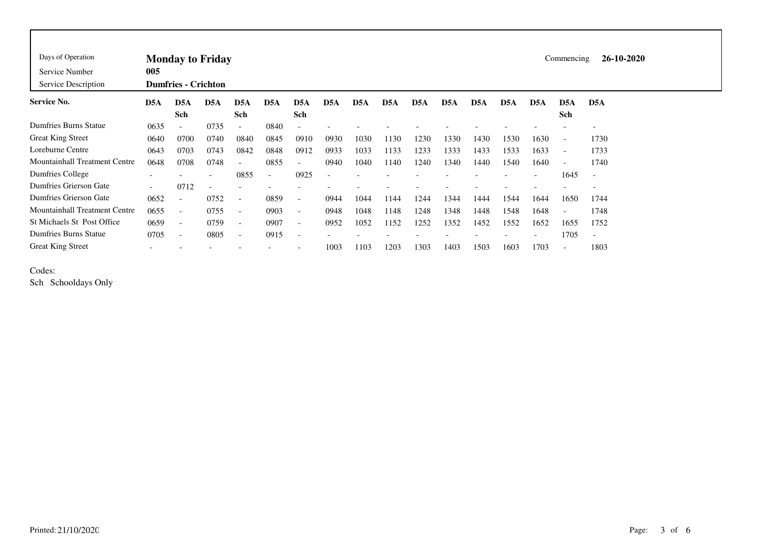| Days of Operation<br>Service Number<br>Service Description | <b>Monday to Friday</b><br>005<br><b>Dumfries - Crichton</b> |                          |                  |                          |                          |                          |                          |                  |                  |                  |      |      |      |                          |                          | 26-10-2020<br>Commencing |  |  |  |  |  |
|------------------------------------------------------------|--------------------------------------------------------------|--------------------------|------------------|--------------------------|--------------------------|--------------------------|--------------------------|------------------|------------------|------------------|------|------|------|--------------------------|--------------------------|--------------------------|--|--|--|--|--|
| Service No.                                                | D <sub>5</sub> A                                             | D <sub>5</sub> A<br>Sch  | D <sub>5</sub> A | D <sub>5</sub> A<br>Sch  | D5A                      | D <sub>5</sub> A<br>Sch  | D <sub>5</sub> A         | D <sub>5</sub> A | D <sub>5</sub> A | D <sub>5</sub> A | D5A  | D5A  | D5A  | D <sub>5</sub> A         | D <sub>5</sub> A<br>Sch  | D <sub>5</sub> A         |  |  |  |  |  |
| <b>Dumfries Burns Statue</b>                               | 0635                                                         |                          | 0735             | $\overline{\phantom{a}}$ | 0840                     | $\overline{\phantom{a}}$ |                          |                  |                  |                  |      |      |      |                          |                          |                          |  |  |  |  |  |
| <b>Great King Street</b>                                   | 0640                                                         | 0700                     | 0740             | 0840                     | 0845                     | 0910                     | 0930                     | 1030             | 1130             | 1230             | 1330 | 1430 | 1530 | 1630                     | $\overline{\phantom{a}}$ | 1730                     |  |  |  |  |  |
| Loreburne Centre                                           | 0643                                                         | 0703                     | 0743             | 0842                     | 0848                     | 0912                     | 0933                     | 1033             | 1133             | 1233             | 1333 | 1433 | 1533 | 1633                     | $\overline{\phantom{a}}$ | 1733                     |  |  |  |  |  |
| Mountainhall Treatment Centre                              | 0648                                                         | 0708                     | 0748             | $\overline{\phantom{a}}$ | 0855                     | $\overline{\phantom{a}}$ | 0940                     | 1040             | 1140             | 1240             | 1340 | 1440 | 1540 | 1640                     | $\overline{\phantom{a}}$ | 1740                     |  |  |  |  |  |
| Dumfries College                                           | $\overline{\phantom{0}}$                                     |                          |                  | 0855                     | $\overline{\phantom{a}}$ | 0925                     | $\overline{\phantom{a}}$ |                  |                  |                  |      |      |      | $\overline{\phantom{a}}$ | 1645                     | $\overline{\phantom{a}}$ |  |  |  |  |  |
| Dumfries Grierson Gate                                     | $\overline{\phantom{0}}$                                     | 0712                     |                  | ۰                        |                          |                          |                          |                  |                  |                  |      |      |      |                          |                          |                          |  |  |  |  |  |
| Dumfries Grierson Gate                                     | 0652                                                         |                          | 0752             | $\overline{\phantom{a}}$ | 0859                     | $\overline{\phantom{a}}$ | 0944                     | 1044             | 1144             | 1244             | 1344 | 1444 | 1544 | 1644                     | 1650                     | 1744                     |  |  |  |  |  |
| <b>Mountainhall Treatment Centre</b>                       | 0655                                                         | $\overline{\phantom{0}}$ | 0755             | $\overline{\phantom{a}}$ | 0903                     | $\overline{\phantom{a}}$ | 0948                     | 1048             | 1148             | 1248             | 1348 | 1448 | 1548 | 1648                     | $\overline{\phantom{a}}$ | 1748                     |  |  |  |  |  |
| <b>St Michaels St Post Office</b>                          | 0659                                                         | $\overline{\phantom{a}}$ | 0759             | $\overline{\phantom{a}}$ | 0907                     | $\overline{\phantom{a}}$ | 0952                     | 1052             | 1152             | 1252             | 1352 | 1452 | 1552 | 1652                     | 1655                     | 1752                     |  |  |  |  |  |
| <b>Dumfries Burns Statue</b>                               | 0705                                                         | $\overline{\phantom{a}}$ | 0805             | $\overline{\phantom{a}}$ | 0915                     | $\overline{\phantom{a}}$ |                          |                  |                  |                  |      |      |      | ٠                        | 1705                     | $\overline{\phantom{a}}$ |  |  |  |  |  |
| <b>Great King Street</b>                                   |                                                              |                          |                  |                          |                          |                          | 1003                     | 1103             | 1203             | 1303             | 1403 | 1503 | 1603 | 1703                     | $\overline{\phantom{a}}$ | 1803                     |  |  |  |  |  |

Codes:

Sch Schooldays Only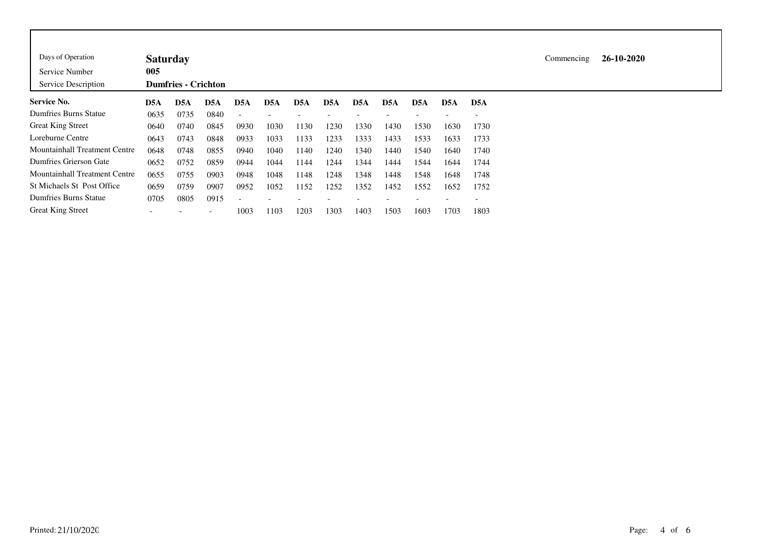| Days of Operation                    | <b>Saturday</b> |                            |                          |                          |                  |      |                  |                  |      |                  |                  |                          |
|--------------------------------------|-----------------|----------------------------|--------------------------|--------------------------|------------------|------|------------------|------------------|------|------------------|------------------|--------------------------|
| Service Number                       | 005             |                            |                          |                          |                  |      |                  |                  |      |                  |                  |                          |
| Service Description                  |                 | <b>Dumfries - Crichton</b> |                          |                          |                  |      |                  |                  |      |                  |                  |                          |
| <b>Service No.</b>                   | D5A             | D <sub>5</sub> A           | D5A                      | D <sub>5</sub> A         | D <sub>5</sub> A | D5A  | D <sub>5</sub> A | D <sub>5</sub> A | D5A  | D <sub>5</sub> A | D <sub>5</sub> A | D <sub>5</sub> A         |
| Dumfries Burns Statue                | 0635            | 0735                       | 0840                     | $\overline{\phantom{a}}$ |                  |      |                  |                  |      |                  |                  |                          |
| <b>Great King Street</b>             | 0640            | 0740                       | 0845                     | 0930                     | 1030             | 1130 | 1230             | 1330             | 1430 | 1530             | 1630             | 1730                     |
| Loreburne Centre                     | 0643            | 0743                       | 0848                     | 0933                     | 1033             | 1133 | 1233             | 1333             | 1433 | 1533             | 1633             | 1733                     |
| <b>Mountainhall Treatment Centre</b> | 0648            | 0748                       | 0855                     | 0940                     | 1040             | 1140 | 1240             | 1340             | 1440 | 1540             | 1640             | 1740                     |
| Dumfries Grierson Gate               | 0652            | 0752                       | 0859                     | 0944                     | 1044             | 1144 | 1244             | 1344             | 1444 | 1544             | 1644             | 1744                     |
| <b>Mountainhall Treatment Centre</b> | 0655            | 0755                       | 0903                     | 0948                     | 1048             | 1148 | 1248             | 1348             | 1448 | 1548             | 1648             | 1748                     |
| St Michaels St Post Office           | 0659            | 0759                       | 0907                     | 0952                     | 1052             | 1152 | 1252             | 1352             | 1452 | 1552             | 1652             | 1752                     |
| Dumfries Burns Statue                | 0705            | 0805                       | 0915                     | $\overline{\phantom{a}}$ |                  |      |                  |                  |      |                  |                  | $\overline{\phantom{a}}$ |
| <b>Great King Street</b>             |                 |                            | $\overline{\phantom{0}}$ | 1003                     | 1103             | 1203 | 1303             | 1403             | 1503 | 1603             | 1703             | 1803                     |